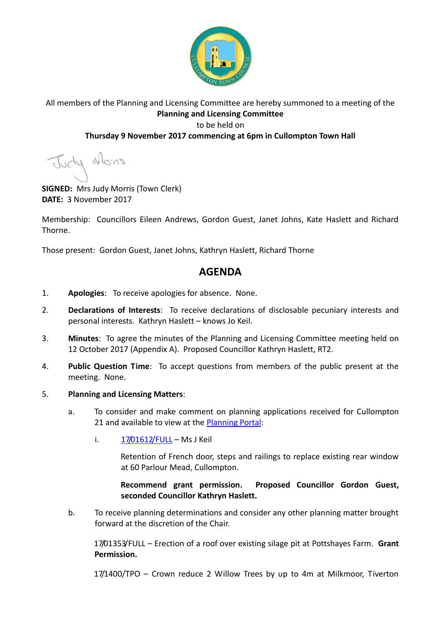

## All members of the Planning and Licensing Committee are hereby summoned to a meeting of the **Planning and Licensing Committee** to be held on

## **Thursday 9 November 2017 commencing at 6pm in Cullompton Town Hall**

Judy Mons

**SIGNED:** Mrs Judy Morris (Town Clerk) **DATE:** 3 November 2017

Membership: Councillors Eileen Andrews, Gordon Guest, Janet Johns, Kate Haslett and Richard Thorne.

Those present: Gordon Guest, Janet Johns, Kathryn Haslett, Richard Thorne

## **AGENDA**

- 1. **Apologies**: To receive apologies for absence. None.
- 2. **Declarations of Interests**: To receive declarations of disclosable pecuniary interests and personal interests. Kathryn Haslett – knows Jo Keil.
- 3. **Minutes**: To agree the minutes of the Planning and Licensing Committee meeting held on 12 October 2017 (Appendix A). Proposed Councillor Kathryn Haslett, RT2.
- 4. **Public Question Time**: To accept questions from members of the public present at the meeting. None.

## 5. **Planning and Licensing Matters**:

- a. To consider and make comment on planning applications received for Cullompton 21 and available to view at the [Planning Portal:](https://planning.middevon.gov.uk/online-applications/search.do?action=simple&searchType=BuildingControl)
	- i.  $17/01612/FULL MsJ Keil$  $17/01612/FULL MsJ Keil$

Retention of French door, steps and railings to replace existing rear window at 60 Parlour Mead, Cullompton.

**Recommend grant permission. Proposed Councillor Gordon Guest, seconded Councillor Kathryn Haslett.**

b. To receive planning determinations and consider any other planning matter brought forward at the discretion of the Chair.

17/01353/FULL – Erection of a roof over existing silage pit at Pottshayes Farm. **Grant Permission.**

17/1400/TPO – Crown reduce 2 Willow Trees by up to 4m at Milkmoor, Tiverton